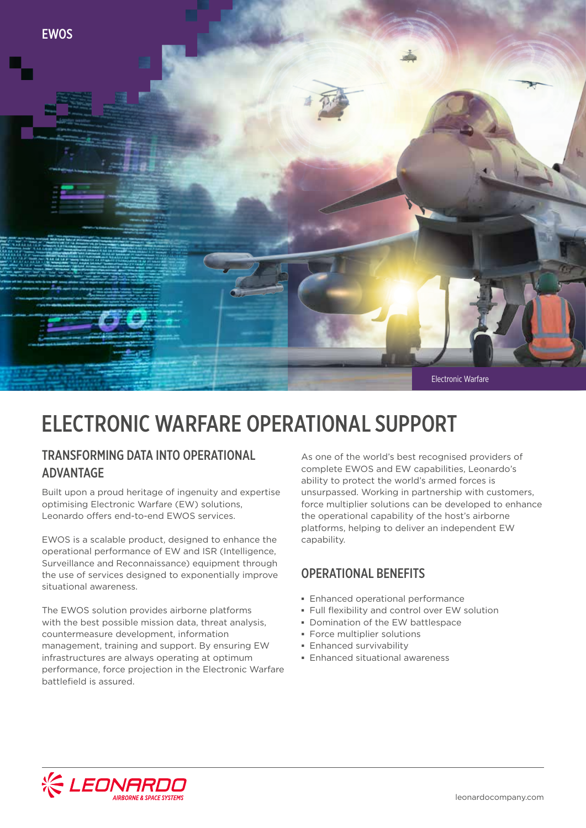

# ELECTRONIC WARFARE OPERATIONAL SUPPORT

# TRANSFORMING DATA INTO OPERATIONAL ADVANTAGE

Built upon a proud heritage of ingenuity and expertise optimising Electronic Warfare (EW) solutions, Leonardo offers end-to-end EWOS services.

EWOS is a scalable product, designed to enhance the operational performance of EW and ISR (Intelligence, Surveillance and Reconnaissance) equipment through the use of services designed to exponentially improve situational awareness.

The EWOS solution provides airborne platforms with the best possible mission data, threat analysis, countermeasure development, information management, training and support. By ensuring EW infrastructures are always operating at optimum performance, force projection in the Electronic Warfare battlefield is assured.

As one of the world's best recognised providers of complete EWOS and EW capabilities, Leonardo's ability to protect the world's armed forces is unsurpassed. Working in partnership with customers, force multiplier solutions can be developed to enhance the operational capability of the host's airborne platforms, helping to deliver an independent EW capability.

# OPERATIONAL BENEFITS

- **▪** Enhanced operational performance
- **▪** Full flexibility and control over EW solution
- **▪** Domination of the EW battlespace
- **▪** Force multiplier solutions
- **▪** Enhanced survivability
- **▪** Enhanced situational awareness